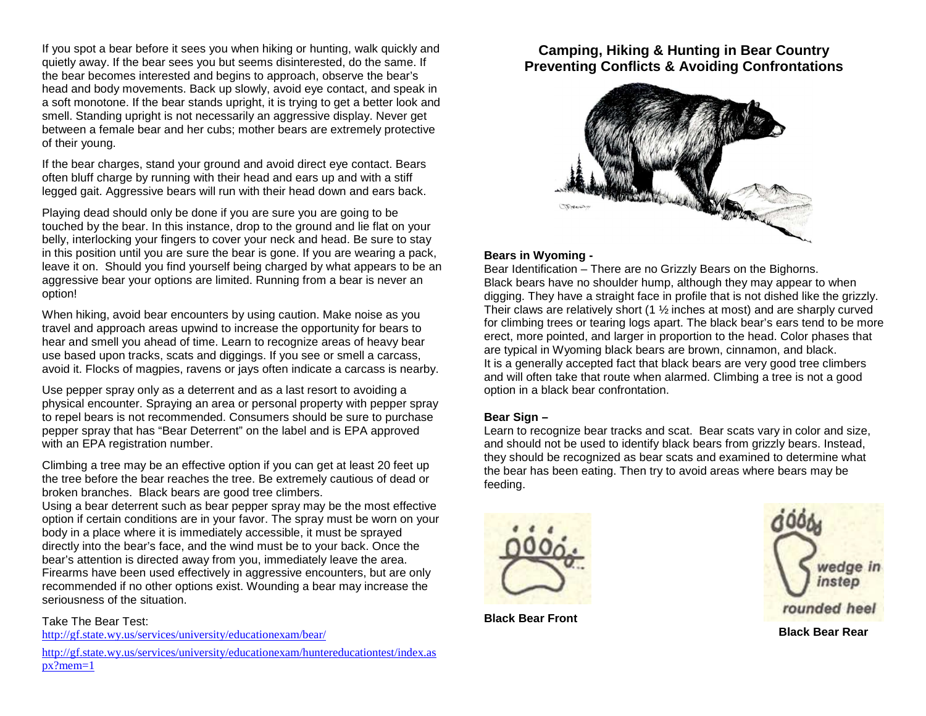If you spot a bear before it sees you when hiking or hunting, walk quickly and quietly away. If the bear sees you but seems disinterested, do the same. If the bear becomes interested and begins to approach, observe the bear's head and body movements. Back up slowly, avoid eye contact, and speak in a soft monotone. If the bear stands upright, it is trying to get a better look and smell. Standing upright is not necessarily an aggressive display. Never get between a female bear and her cubs; mother bears are extremely protective of their young.

If the bear charges, stand your ground and avoid direct eye contact. Bears often bluff charge by running with their head and ears up and with a stiff legged gait. Aggressive bears will run with their head down and ears back.

Playing dead should only be done if you are sure you are going to be touched by the bear. In this instance, drop to the ground and lie flat on your belly, interlocking your fingers to cover your neck and head. Be sure to stay in this position until you are sure the bear is gone. If you are wearing a pack, leave it on. Should you find yourself being charged by what appears to be an aggressive bear your options are limited. Running from a bear is never an option!

When hiking, avoid bear encounters by using caution. Make noise as you travel and approach areas upwind to increase the opportunity for bears to hear and smell you ahead of time. Learn to recognize areas of heavy bear use based upon tracks, scats and diggings. If you see or smell a carcass, avoid it. Flocks of magpies, ravens or jays often indicate a carcass is nearby.

Use pepper spray only as a deterrent and as a last resort to avoiding a physical encounter. Spraying an area or personal property with pepper spray to repel bears is not recommended. Consumers should be sure to purchase pepper spray that has "Bear Deterrent" on the label and is EPA approved with an EPA registration number.

Climbing a tree may be an effective option if you can get at least 20 feet up the tree before the bear reaches the tree. Be extremely cautious of dead or broken branches. Black bears are good tree climbers.

 Using a bear deterrent such as bear pepper spray may be the most effective option if certain conditions are in your favor. The spray must be worn on your body in a place where it is immediately accessible, it must be sprayed directly into the bear's face, and the wind must be to your back. Once the bear's attention is directed away from you, immediately leave the area. Firearms have been used effectively in aggressive encounters, but are only recommended if no other options exist. Wounding a bear may increase the seriousness of the situation.

### Take The Bear Test:

http://gf.state.wy.us/services/university/educationexam/bear/

http://gf.state.wy.us/services/university/educationexam/huntereducationtest/index.aspx?mem=1

## **Camping, Hiking & Hunting in Bear Country Preventing Conflicts & Avoiding Confrontations**



### **Bears in Wyoming -**

 Bear Identification – There are no Grizzly Bears on the Bighorns. Black bears have no shoulder hump, although they may appear to when digging. They have a straight face in profile that is not dished like the grizzly. Their claws are relatively short (1 ½ inches at most) and are sharply curved for climbing trees or tearing logs apart. The black bear's ears tend to be more erect, more pointed, and larger in proportion to the head. Color phases that are typical in Wyoming black bears are brown, cinnamon, and black. It is a generally accepted fact that black bears are very good tree climbers and will often take that route when alarmed. Climbing a tree is not a good option in a black bear confrontation.

## **Bear Sign –**

 Learn to recognize bear tracks and scat. Bear scats vary in color and size, and should not be used to identify black bears from grizzly bears. Instead, they should be recognized as bear scats and examined to determine what the bear has been eating. Then try to avoid areas where bears may be feeding.





**Black Bear Front**